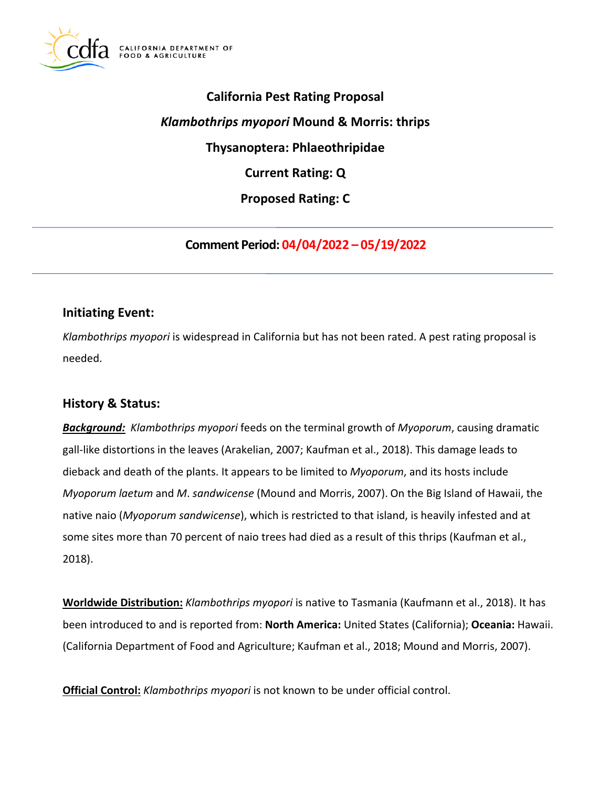

# **California Pest Rating Proposal**  *Klambothrips myopori* **Mound & Morris: thrips Thysanoptera: Phlaeothripidae Current Rating: Q Proposed Rating: C**

**Comment Period: 04/04/2022 – 05/19/2022** 

## **Initiating Event:**

*Klambothrips myopori* is widespread in California but has not been rated. A pest rating proposal is needed.

# **History & Status:**

*Background: Klambothrips myopori* feeds on the terminal growth of *Myoporum*, causing dramatic gall-like distortions in the leaves (Arakelian, 2007; Kaufman et al., 2018). This damage leads to dieback and death of the plants. It appears to be limited to *Myoporum*, and its hosts include *Myoporum laetum* and *M*. *sandwicense* (Mound and Morris, 2007). On the Big Island of Hawaii, the native naio (*Myoporum sandwicense*), which is restricted to that island, is heavily infested and at some sites more than 70 percent of naio trees had died as a result of this thrips (Kaufman et al., 2018).

**Worldwide Distribution:** *Klambothrips myopori* is native to Tasmania (Kaufmann et al., 2018). It has been introduced to and is reported from: **North America:** United States (California); **Oceania:** Hawaii. (California Department of Food and Agriculture; Kaufman et al., 2018; Mound and Morris, 2007).

**Official Control:** *Klambothrips myopori* is not known to be under official control.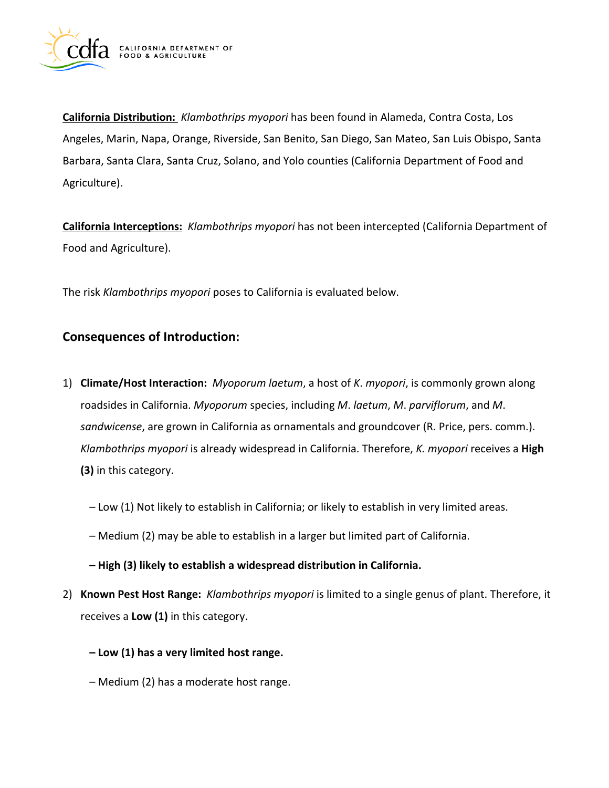

**California Distribution:** *Klambothrips myopori* has been found in Alameda, Contra Costa, Los Angeles, Marin, Napa, Orange, Riverside, San Benito, San Diego, San Mateo, San Luis Obispo, Santa Barbara, Santa Clara, Santa Cruz, Solano, and Yolo counties (California Department of Food and Agriculture).

**California Interceptions:** *Klambothrips myopori* has not been intercepted (California Department of Food and Agriculture).

The risk *Klambothrips myopori* poses to California is evaluated below.

## **Consequences of Introduction:**

- 1) **Climate/Host Interaction:** *Myoporum laetum*, a host of *K*. *myopori*, is commonly grown along roadsides in California. *Myoporum* species, including *M*. *laetum*, *M*. *parviflorum*, and *M*. *sandwicense*, are grown in California as ornamentals and groundcover (R. Price, pers. comm.). *Klambothrips myopori* is already widespread in California. Therefore, *K. myopori* receives a **High (3)** in this category.
	- Low (1) Not likely to establish in California; or likely to establish in very limited areas.
	- Medium (2) may be able to establish in a larger but limited part of California.
	- **High (3) likely to establish a widespread distribution in California.**
- 2) **Known Pest Host Range:** *Klambothrips myopori* is limited to a single genus of plant. Therefore, it receives a **Low (1)** in this category.
	- **Low (1) has a very limited host range.**
	- Medium (2) has a moderate host range.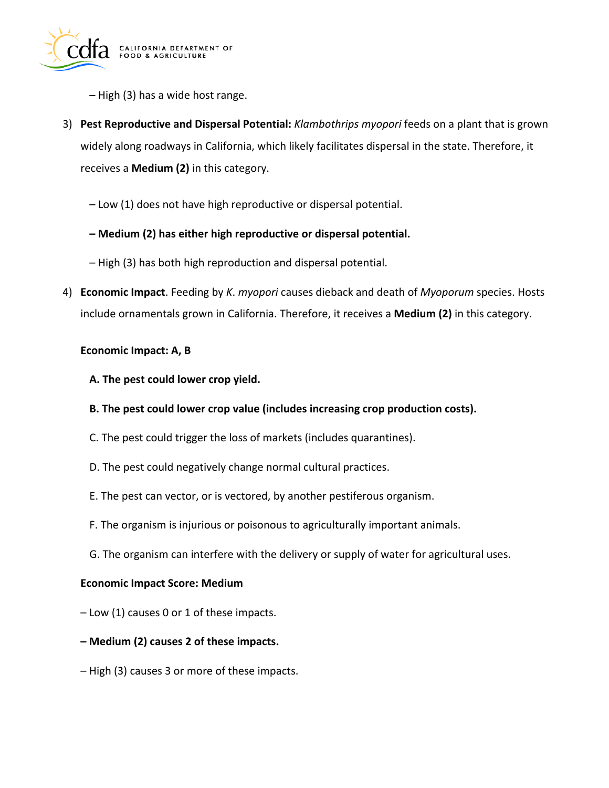

– High (3) has a wide host range.

- 3) **Pest Reproductive and Dispersal Potential:** *Klambothrips myopori* feeds on a plant that is grown widely along roadways in California, which likely facilitates dispersal in the state. Therefore, it receives a **Medium (2)** in this category.
	- Low (1) does not have high reproductive or dispersal potential.
	- **Medium (2) has either high reproductive or dispersal potential.**
	- High (3) has both high reproduction and dispersal potential.
- 4) **Economic Impact**. Feeding by *K*. *myopori* causes dieback and death of *Myoporum* species. Hosts include ornamentals grown in California. Therefore, it receives a **Medium (2)** in this category.

## **Economic Impact: A, B**

- **A. The pest could lower crop yield.**
- **B. The pest could lower crop value (includes increasing crop production costs).**
- C. The pest could trigger the loss of markets (includes quarantines).
- D. The pest could negatively change normal cultural practices.
- E. The pest can vector, or is vectored, by another pestiferous organism.
- F. The organism is injurious or poisonous to agriculturally important animals.
- G. The organism can interfere with the delivery or supply of water for agricultural uses.

## **Economic Impact Score: Medium**

- Low (1) causes 0 or 1 of these impacts.
- **Medium (2) causes 2 of these impacts.**
- High (3) causes 3 or more of these impacts.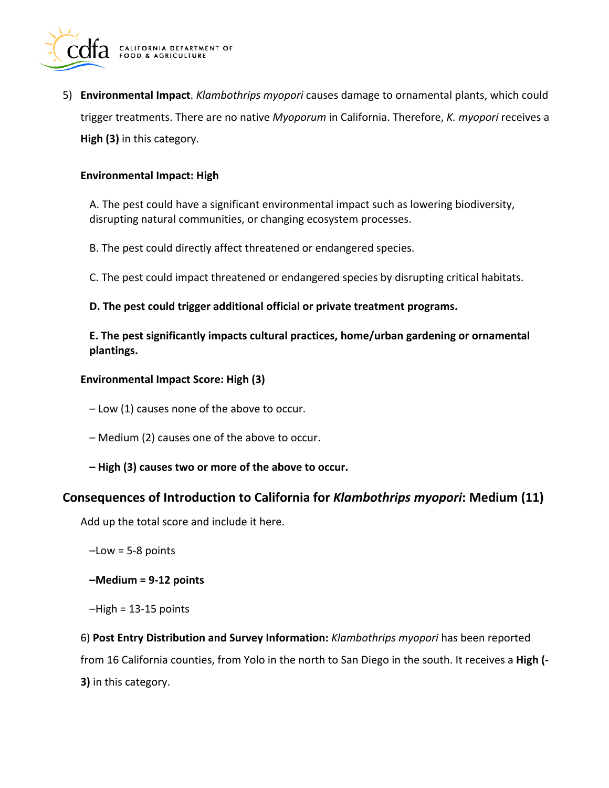

5) **Environmental Impact**. *Klambothrips myopori* causes damage to ornamental plants, which could trigger treatments. There are no native *Myoporum* in California. Therefore, *K. myopori* receives a **High (3)** in this category.

#### **Environmental Impact: High**

A. The pest could have a significant environmental impact such as lowering biodiversity, disrupting natural communities, or changing ecosystem processes.

B. The pest could directly affect threatened or endangered species.

C. The pest could impact threatened or endangered species by disrupting critical habitats.

## **D. The pest could trigger additional official or private treatment programs.**

**E. The pest significantly impacts cultural practices, home/urban gardening or ornamental plantings.** 

#### **Environmental Impact Score: High (3)**

– Low (1) causes none of the above to occur.

- Medium (2) causes one of the above to occur.
- **High (3) causes two or more of the above to occur.**

## **Consequences of Introduction to California for** *Klambothrips myopori***: Medium (11)**

Add up the total score and include it here.

 $-Low = 5-8$  points

**–Medium = 9-12 points** 

```
-High = 13-15 points
```
6) **Post Entry Distribution and Survey Information:** *Klambothrips myopori* has been reported from 16 California counties, from Yolo in the north to San Diego in the south. It receives a **High (- 3)** in this category.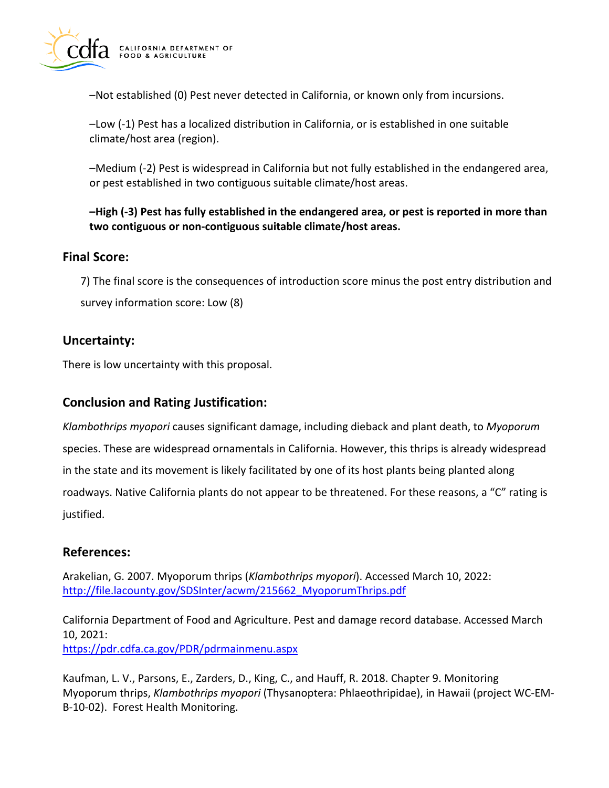

–Not established (0) Pest never detected in California, or known only from incursions.

–Low (-1) Pest has a localized distribution in California, or is established in one suitable climate/host area (region).

–Medium (-2) Pest is widespread in California but not fully established in the endangered area, or pest established in two contiguous suitable climate/host areas.

**–High (-3) Pest has fully established in the endangered area, or pest is reported in more than two contiguous or non-contiguous suitable climate/host areas.** 

# **Final Score:**

7) The final score is the consequences of introduction score minus the post entry distribution and survey information score: Low (8)

# **Uncertainty:**

There is low uncertainty with this proposal.

## **Conclusion and Rating Justification:**

*Klambothrips myopori* causes significant damage, including dieback and plant death, to *Myoporum*  species. These are widespread ornamentals in California. However, this thrips is already widespread in the state and its movement is likely facilitated by one of its host plants being planted along roadways. Native California plants do not appear to be threatened. For these reasons, a "C" rating is justified.

# **References:**

Arakelian, G. 2007. Myoporum thrips (*Klambothrips myopori*). Accessed March 10, 2022: [http://file.lacounty.gov/SDSInter/acwm/215662\\_MyoporumThrips.pdf](http://file.lacounty.gov/SDSInter/acwm/215662_MyoporumThrips.pdf) 

California Department of Food and Agriculture. Pest and damage record database. Accessed March 10, 2021:

<https://pdr.cdfa.ca.gov/PDR/pdrmainmenu.aspx>

Kaufman, L. V., Parsons, E., Zarders, D., King, C., and Hauff, R. 2018. Chapter 9. Monitoring Myoporum thrips, *Klambothrips myopori* (Thysanoptera: Phlaeothripidae), in Hawaii (project WC-EM-B-10-02). Forest Health Monitoring.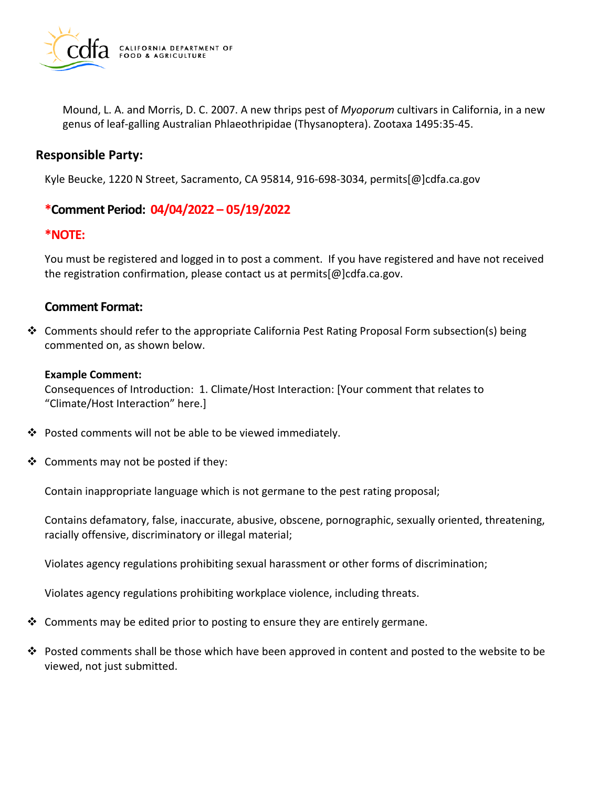

Mound, L. A. and Morris, D. C. 2007. A new thrips pest of *Myoporum* cultivars in California, in a new genus of leaf-galling Australian Phlaeothripidae (Thysanoptera). Zootaxa 1495:35-45.

## **Responsible Party:**

Kyle Beucke, 1220 N Street, Sacramento, CA 95814, 916-698-3034, [permits\[@\]cdfa.ca.gov](https://permits[@]cdfa.ca.gov) 

## **\*Comment Period: 04/04/2022 – 05/19/2022**

## **\*NOTE:**

You must be registered and logged in to post a comment. If you have registered and have not received the registration confirmation, please contact us at [permits\[@\]cdfa.ca.gov](https://permits[@]cdfa.ca.gov).

## **Comment Format:**

 $\clubsuit$  Comments should refer to the appropriate California Pest Rating Proposal Form subsection(s) being commented on, as shown below.

#### **Example Comment:**

Consequences of Introduction: 1. Climate/Host Interaction: [Your comment that relates to "Climate/Host Interaction" here.]

- Posted comments will not be able to be viewed immediately.
- $\triangleleft$  Comments may not be posted if they:

Contain inappropriate language which is not germane to the pest rating proposal;

Contains defamatory, false, inaccurate, abusive, obscene, pornographic, sexually oriented, threatening, racially offensive, discriminatory or illegal material;

Violates agency regulations prohibiting sexual harassment or other forms of discrimination;

Violates agency regulations prohibiting workplace violence, including threats.

- $\clubsuit$  Comments may be edited prior to posting to ensure they are entirely germane.
- $\clubsuit$  Posted comments shall be those which have been approved in content and posted to the website to be viewed, not just submitted.